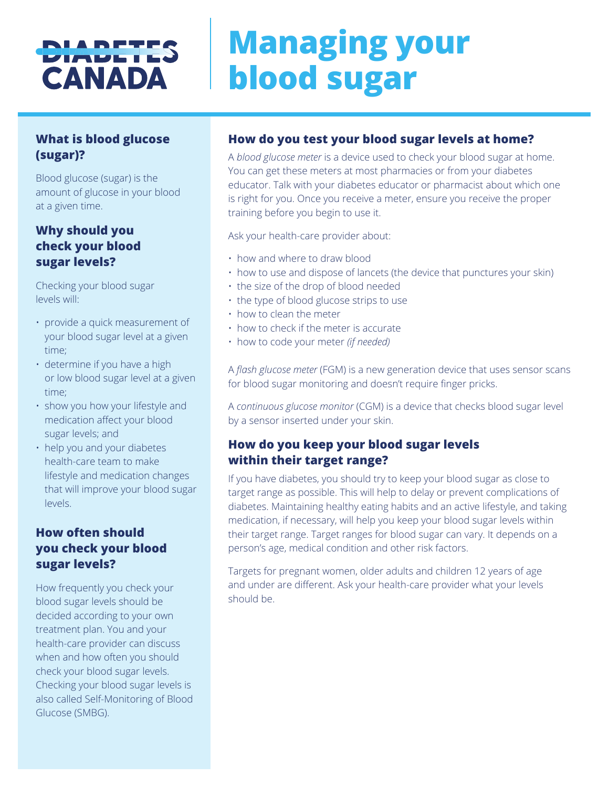## DIADE<sup>.</sup> CANADA

# **Managing your blood sugar**

#### **What is blood glucose (sugar)?**

Blood glucose (sugar) is the amount of glucose in your blood at a given time.

#### **Why should you check your blood sugar levels?**

Checking your blood sugar levels will:

- provide a quick measurement of your blood sugar level at a given time;
- determine if you have a high or low blood sugar level at a given time;
- show you how your lifestyle and medication affect your blood sugar levels; and
- help you and your diabetes health-care team to make lifestyle and medication changes that will improve your blood sugar levels.

#### **How often should you check your blood sugar levels?**

How frequently you check your blood sugar levels should be decided according to your own treatment plan. You and your health-care provider can discuss when and how often you should check your blood sugar levels. Checking your blood sugar levels is also called Self-Monitoring of Blood Glucose (SMBG).

#### **How do you test your blood sugar levels at home?**

A *blood glucose meter* is a device used to check your blood sugar at home. You can get these meters at most pharmacies or from your diabetes educator. Talk with your diabetes educator or pharmacist about which one is right for you. Once you receive a meter, ensure you receive the proper training before you begin to use it.

Ask your health-care provider about:

- how and where to draw blood
- how to use and dispose of lancets (the device that punctures your skin)
- the size of the drop of blood needed
- the type of blood glucose strips to use
- how to clean the meter
- how to check if the meter is accurate
- how to code your meter *(if needed)*

A *flash glucose meter* (FGM) is a new generation device that uses sensor scans for blood sugar monitoring and doesn't require finger pricks.

A *continuous glucose monitor* (CGM) is a device that checks blood sugar level by a sensor inserted under your skin.

#### **How do you keep your blood sugar levels within their target range?**

If you have diabetes, you should try to keep your blood sugar as close to target range as possible. This will help to delay or prevent complications of diabetes. Maintaining healthy eating habits and an active lifestyle, and taking medication, if necessary, will help you keep your blood sugar levels within their target range. Target ranges for blood sugar can vary. It depends on a person's age, medical condition and other risk factors.

Targets for pregnant women, older adults and children 12 years of age and under are different. Ask your health-care provider what your levels should be.